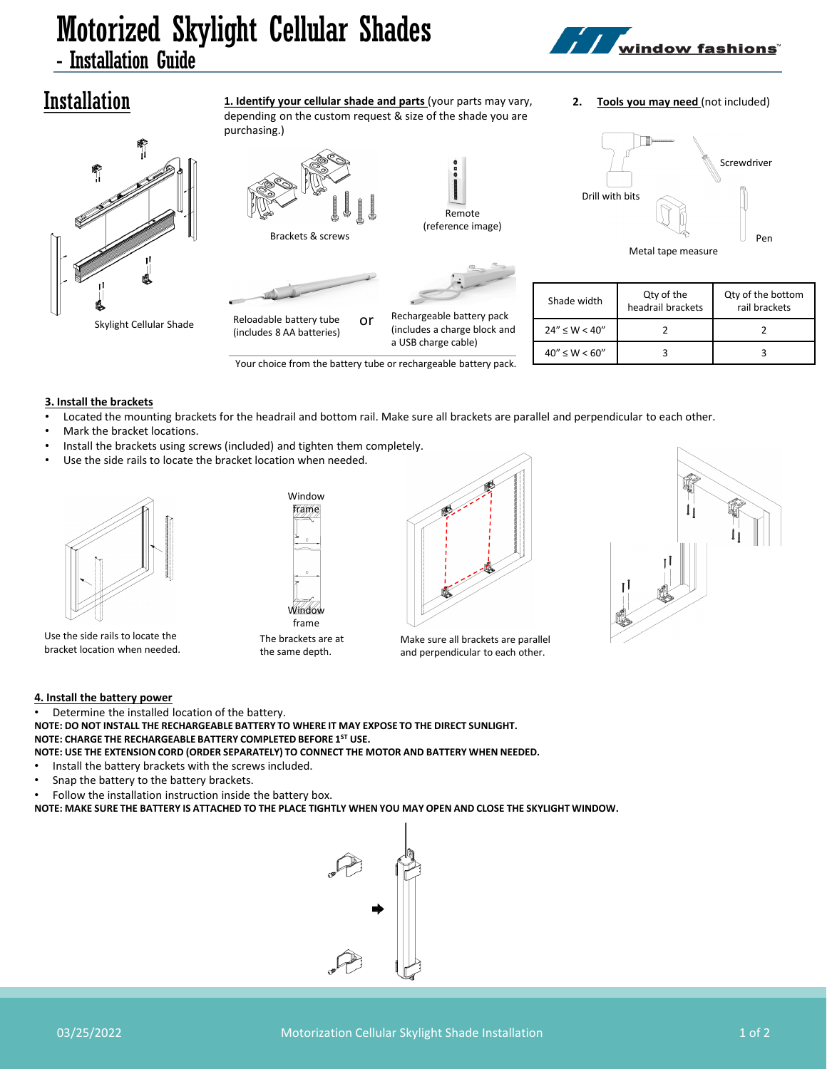## Motorized Skylight Cellular Shades - Installation Guide



### **2. Tools you may need** (not included)



Installation

**1. Identify your cellular shade and parts** (your parts may vary, depending on the custom request & size of the shade you are purchasing.)





Your choice from the battery tube or rechargeable battery pack.

Drill with bits Screwdriver Metal tape measure Pen

| Shade width         | Qty of the<br>headrail brackets | Qty of the bottom<br>rail brackets |
|---------------------|---------------------------------|------------------------------------|
| $24'' \le W < 40''$ |                                 |                                    |
| $40'' \le W < 60''$ |                                 |                                    |

**3. Install the brackets**

- Located the mounting brackets for the headrail and bottom rail. Make sure all brackets are parallel and perpendicular to each other.
- Mark the bracket locations.
- Install the brackets using screws (included) and tighten them completely.
- Use the side rails to locate the bracket location when needed.



Use the side rails to locate the bracket location when needed.





Make sure all brackets are parallel and perpendicular to each other.



**4. Install the battery power**

Determine the installed location of the battery.

**NOTE: DO NOT INSTALL THE RECHARGEABLE BATTERY TO WHERE IT MAY EXPOSE TO THE DIRECT SUNLIGHT. NOTE: CHARGE THE RECHARGEABLE BATTERY COMPLETED BEFORE 1ST USE. NOTE: USE THE EXTENSION CORD (ORDER SEPARATELY) TO CONNECT THE MOTOR AND BATTERY WHEN NEEDED.**

- Install the battery brackets with the screws included.
- Snap the battery to the battery brackets.
- Follow the installation instruction inside the battery box.

**NOTE: MAKE SURE THE BATTERY IS ATTACHED TO THE PLACE TIGHTLY WHEN YOU MAY OPEN AND CLOSE THE SKYLIGHT WINDOW.**